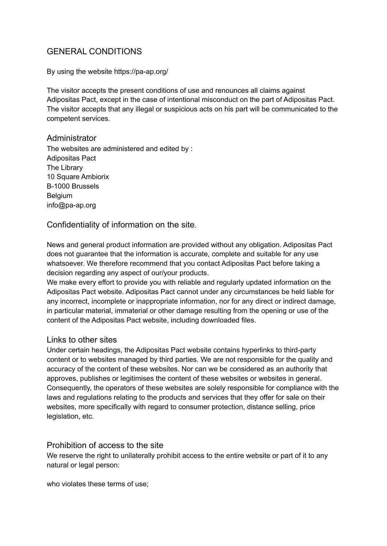# GENERAL CONDITIONS

By using the website https://pa-ap.org/

The visitor accepts the present conditions of use and renounces all claims against Adipositas Pact, except in the case of intentional misconduct on the part of Adipositas Pact. The visitor accepts that any illegal or suspicious acts on his part will be communicated to the competent services.

## **Administrator**

The websites are administered and edited by : Adipositas Pact The Library 10 Square Ambiorix B-1000 Brussels **Belgium** info@pa-ap.org

# Confidentiality of information on the site.

News and general product information are provided without any obligation. Adipositas Pact does not guarantee that the information is accurate, complete and suitable for any use whatsoever. We therefore recommend that you contact Adipositas Pact before taking a decision regarding any aspect of our/your products.

We make every effort to provide you with reliable and regularly updated information on the Adipositas Pact website. Adipositas Pact cannot under any circumstances be held liable for any incorrect, incomplete or inappropriate information, nor for any direct or indirect damage, in particular material, immaterial or other damage resulting from the opening or use of the content of the Adipositas Pact website, including downloaded files.

# Links to other sites

Under certain headings, the Adipositas Pact website contains hyperlinks to third-party content or to websites managed by third parties. We are not responsible for the quality and accuracy of the content of these websites. Nor can we be considered as an authority that approves, publishes or legitimises the content of these websites or websites in general. Consequently, the operators of these websites are solely responsible for compliance with the laws and regulations relating to the products and services that they offer for sale on their websites, more specifically with regard to consumer protection, distance selling, price legislation, etc.

## Prohibition of access to the site

We reserve the right to unilaterally prohibit access to the entire website or part of it to any natural or legal person:

who violates these terms of use;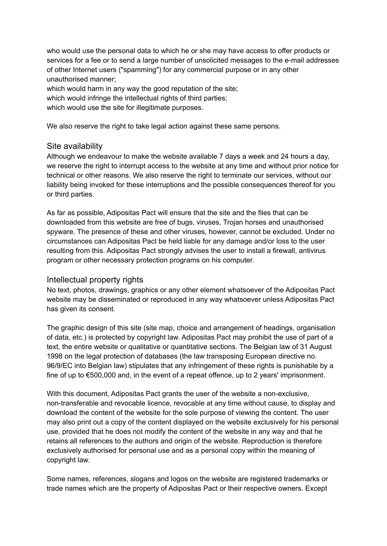who would use the personal data to which he or she may have access to offer products or services for a fee or to send a large number of unsolicited messages to the e-mail addresses of other Internet users ("spamming") for any commercial purpose or in any other unauthorised manner;

which would harm in any way the good reputation of the site;

which would infringe the intellectual rights of third parties;

which would use the site for illegitimate purposes.

We also reserve the right to take legal action against these same persons.

#### Site availability

Although we endeavour to make the website available 7 days a week and 24 hours a day, we reserve the right to interrupt access to the website at any time and without prior notice for technical or other reasons. We also reserve the right to terminate our services, without our liability being invoked for these interruptions and the possible consequences thereof for you or third parties.

As far as possible, Adipositas Pact will ensure that the site and the files that can be downloaded from this website are free of bugs, viruses, Trojan horses and unauthorised spyware. The presence of these and other viruses, however, cannot be excluded. Under no circumstances can Adipositas Pact be held liable for any damage and/or loss to the user resulting from this. Adipositas Pact strongly advises the user to install a firewall, antivirus program or other necessary protection programs on his computer.

## Intellectual property rights

No text, photos, drawings, graphics or any other element whatsoever of the Adipositas Pact website may be disseminated or reproduced in any way whatsoever unless Adipositas Pact has given its consent.

The graphic design of this site (site map, choice and arrangement of headings, organisation of data, etc.) is protected by copyright law. Adipositas Pact may prohibit the use of part of a text, the entire website or qualitative or quantitative sections. The Belgian law of 31 August 1998 on the legal protection of databases (the law transposing European directive no. 96/9/EC into Belgian law) stipulates that any infringement of these rights is punishable by a fine of up to €500,000 and, in the event of a repeat offence, up to 2 years' imprisonment.

With this document, Adipositas Pact grants the user of the website a non-exclusive, non-transferable and revocable licence, revocable at any time without cause, to display and download the content of the website for the sole purpose of viewing the content. The user may also print out a copy of the content displayed on the website exclusively for his personal use, provided that he does not modify the content of the website in any way and that he retains all references to the authors and origin of the website. Reproduction is therefore exclusively authorised for personal use and as a personal copy within the meaning of copyright law.

Some names, references, slogans and logos on the website are registered trademarks or trade names which are the property of Adipositas Pact or their respective owners. Except